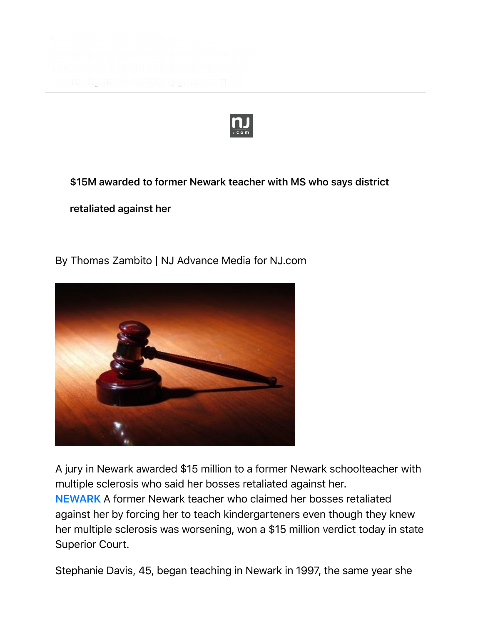

**\$15M awarded to former Newark teacher with MS who says district**

**retaliated against her**

By Thomas Zambito | NJ Advance Media for NJ.com



A jury in Newark awarded \$15 million to a former Newark schoolteacher with multiple sclerosis who said her bosses retaliated against her. **NEWARK** A former Newark teacher who claimed her bosses retaliated against her by forcing her to teach kindergarteners even though they knew her multiple sclerosis was worsening, won a \$15 million verdict today in state Superior Court.

Stephanie Davis, 45, began teaching in Newark in 1997, the same year she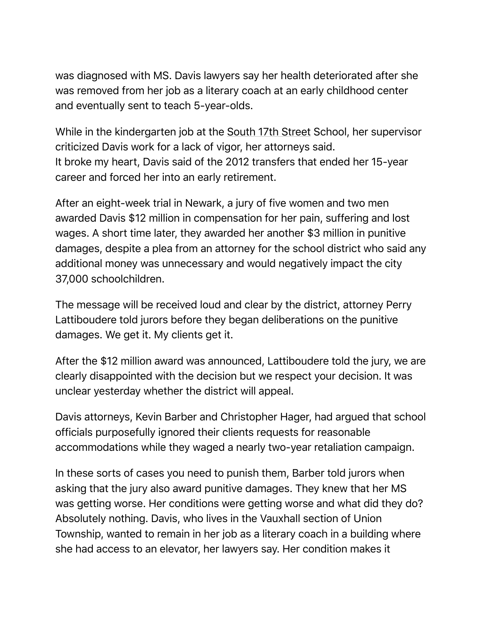was diagnosed with MS. Davis lawyers say her health deteriorated after she was removed from her job as a literary coach at an early childhood center and eventually sent to teach 5-year-olds.

While in the kindergarten job at the South 17th Street School, her supervisor criticized Davis work for a lack of vigor, her attorneys said. It broke my heart, Davis said of the 2012 transfers that ended her 15-year career and forced her into an early retirement.

After an eight-week trial in Newark, a jury of five women and two men awarded Davis \$12 million in compensation for her pain, suffering and lost wages. A short time later, they awarded her another \$3 million in punitive damages, despite a plea from an attorney for the school district who said any additional money was unnecessary and would negatively impact the city 37,000 schoolchildren.

The message will be received loud and clear by the district, attorney Perry Lattiboudere told jurors before they began deliberations on the punitive damages. We get it. My clients get it.

After the \$12 million award was announced, Lattiboudere told the jury, we are clearly disappointed with the decision but we respect your decision. It was unclear yesterday whether the district will appeal.

Davis attorneys, Kevin Barber and Christopher Hager, had argued that school officials purposefully ignored their clients requests for reasonable accommodations while they waged a nearly two-year retaliation campaign.

In these sorts of cases you need to punish them, Barber told jurors when asking that the jury also award punitive damages. They knew that her MS was getting worse. Her conditions were getting worse and what did they do? Absolutely nothing. Davis, who lives in the Vauxhall section of Union Township, wanted to remain in her job as a literary coach in a building where she had access to an elevator, her lawyers say. Her condition makes it